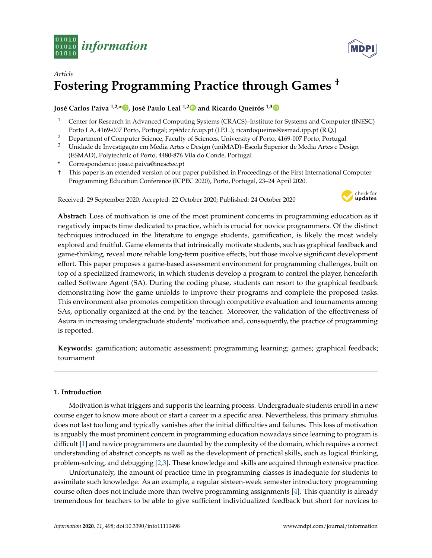



# *Article* **Fostering Programming Practice through Games †**

## **José Carlos Paiva 1,2,[\\*](https://orcid.org/0000-0003-0394-0527) , José Paulo Leal 1,[2](https://orcid.org/0000-0002-8409-0300) and Ricardo Queirós 1,[3](https://orcid.org/0000-0002-1985-6285)**

- <sup>1</sup> Center for Research in Advanced Computing Systems (CRACS)–Institute for Systems and Computer (INESC) Porto LA, 4169-007 Porto, Portugal; zp@dcc.fc.up.pt (J.P.L.); ricardoqueiros@esmad.ipp.pt (R.Q.)
- <sup>2</sup> Department of Computer Science, Faculty of Sciences, University of Porto, 4169-007 Porto, Portugal
- <sup>3</sup> Unidade de Investigação em Media Artes e Design (uniMAD)–Escola Superior de Media Artes e Design (ESMAD), Polytechnic of Porto, 4480-876 Vila do Conde, Portugal
- **\*** Correspondence: jose.c.paiva@inesctec.pt
- † This paper is an extended version of our paper published in Proceedings of the First International Computer Programming Education Conference (ICPEC 2020), Porto, Portugal, 23–24 April 2020.

Received: 29 September 2020; Accepted: 22 October 2020; Published: 24 October 2020



**Abstract:** Loss of motivation is one of the most prominent concerns in programming education as it negatively impacts time dedicated to practice, which is crucial for novice programmers. Of the distinct techniques introduced in the literature to engage students, gamification, is likely the most widely explored and fruitful. Game elements that intrinsically motivate students, such as graphical feedback and game-thinking, reveal more reliable long-term positive effects, but those involve significant development effort. This paper proposes a game-based assessment environment for programming challenges, built on top of a specialized framework, in which students develop a program to control the player, henceforth called Software Agent (SA). During the coding phase, students can resort to the graphical feedback demonstrating how the game unfolds to improve their programs and complete the proposed tasks. This environment also promotes competition through competitive evaluation and tournaments among SAs, optionally organized at the end by the teacher. Moreover, the validation of the effectiveness of Asura in increasing undergraduate students' motivation and, consequently, the practice of programming is reported.

**Keywords:** gamification; automatic assessment; programming learning; games; graphical feedback; tournament

## **1. Introduction**

Motivation is what triggers and supports the learning process. Undergraduate students enroll in a new course eager to know more about or start a career in a specific area. Nevertheless, this primary stimulus does not last too long and typically vanishes after the initial difficulties and failures. This loss of motivation is arguably the most prominent concern in programming education nowadays since learning to program is difficult [\[1\]](#page-17-0) and novice programmers are daunted by the complexity of the domain, which requires a correct understanding of abstract concepts as well as the development of practical skills, such as logical thinking, problem-solving, and debugging [\[2](#page-17-1)[,3\]](#page-17-2). These knowledge and skills are acquired through extensive practice.

Unfortunately, the amount of practice time in programming classes is inadequate for students to assimilate such knowledge. As an example, a regular sixteen-week semester introductory programming course often does not include more than twelve programming assignments [\[4\]](#page-17-3). This quantity is already tremendous for teachers to be able to give sufficient individualized feedback but short for novices to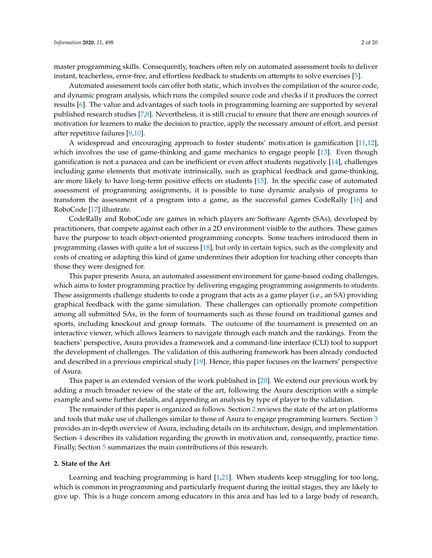master programming skills. Consequently, teachers often rely on automated assessment tools to deliver instant, teacherless, error-free, and effortless feedback to students on attempts to solve exercises [\[5\]](#page-17-4).

Automated assessment tools can offer both static, which involves the compilation of the source code, and dynamic program analysis, which runs the compiled source code and checks if it produces the correct results [\[6\]](#page-17-5). The value and advantages of such tools in programming learning are supported by several published research studies [\[7](#page-17-6)[,8\]](#page-17-7). Nevertheless, it is still crucial to ensure that there are enough sources of motivation for learners to make the decision to practice, apply the necessary amount of effort, and persist after repetitive failures [\[9](#page-17-8)[,10\]](#page-17-9).

A widespread and encouraging approach to foster students' motivation is gamification [\[11](#page-17-10)[,12\]](#page-17-11), which involves the use of game-thinking and game mechanics to engage people [\[13\]](#page-17-12). Even though gamification is not a panacea and can be inefficient or even affect students negatively [\[14\]](#page-17-13), challenges including game elements that motivate intrinsically, such as graphical feedback and game-thinking, are more likely to have long-term positive effects on students [\[15\]](#page-17-14). In the specific case of automated assessment of programming assignments, it is possible to tune dynamic analysis of programs to transform the assessment of a program into a game, as the successful games CodeRally [\[16\]](#page-17-15) and RoboCode [\[17\]](#page-17-16) illustrate.

CodeRally and RoboCode are games in which players are Software Agents (SAs), developed by practitioners, that compete against each other in a 2D environment visible to the authors. These games have the purpose to teach object-oriented programming concepts. Some teachers introduced them in programming classes with quite a lot of success [\[18\]](#page-17-17), but only in certain topics, such as the complexity and costs of creating or adapting this kind of game undermines their adoption for teaching other concepts than those they were designed for.

This paper presents Asura, an automated assessment environment for game-based coding challenges, which aims to foster programming practice by delivering engaging programming assignments to students. These assignments challenge students to code a program that acts as a game player (i.e., an SA) providing graphical feedback with the game simulation. These challenges can optionally promote competition among all submitted SAs, in the form of tournaments such as those found on traditional games and sports, including knockout and group formats. The outcome of the tournament is presented on an interactive viewer, which allows learners to navigate through each match and the rankings. From the teachers' perspective, Asura provides a framework and a command-line interface (CLI) tool to support the development of challenges. The validation of this authoring framework has been already conducted and described in a previous empirical study [\[19\]](#page-17-18). Hence, this paper focuses on the learners' perspective of Asura.

This paper is an extended version of the work published in [\[20\]](#page-17-19). We extend our previous work by adding a much broader review of the state of the art, following the Asura description with a simple example and some further details, and appending an analysis by type of player to the validation.

The remainder of this paper is organized as follows. Section [2](#page-1-0) reviews the state of the art on platforms and tools that make use of challenges similar to those of Asura to engage programming learners. Section [3](#page-6-0) provides an in-depth overview of Asura, including details on its architecture, design, and implementation. Section [4](#page-11-0) describes its validation regarding the growth in motivation and, consequently, practice time. Finally, Section [5](#page-16-0) summarizes the main contributions of this research.

#### <span id="page-1-0"></span>**2. State of the Art**

Learning and teaching programming is hard [\[1,](#page-17-0)[21\]](#page-17-20). When students keep struggling for too long, which is common in programming and particularly frequent during the initial stages, they are likely to give up. This is a huge concern among educators in this area and has led to a large body of research,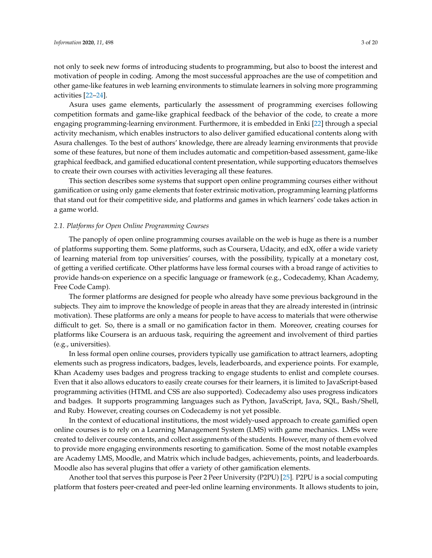not only to seek new forms of introducing students to programming, but also to boost the interest and motivation of people in coding. Among the most successful approaches are the use of competition and other game-like features in web learning environments to stimulate learners in solving more programming activities [\[22–](#page-18-0)[24\]](#page-18-1).

Asura uses game elements, particularly the assessment of programming exercises following competition formats and game-like graphical feedback of the behavior of the code, to create a more engaging programming-learning environment. Furthermore, it is embedded in Enki [\[22\]](#page-18-0) through a special activity mechanism, which enables instructors to also deliver gamified educational contents along with Asura challenges. To the best of authors' knowledge, there are already learning environments that provide some of these features, but none of them includes automatic and competition-based assessment, game-like graphical feedback, and gamified educational content presentation, while supporting educators themselves to create their own courses with activities leveraging all these features.

This section describes some systems that support open online programming courses either without gamification or using only game elements that foster extrinsic motivation, programming learning platforms that stand out for their competitive side, and platforms and games in which learners' code takes action in a game world.

#### *2.1. Platforms for Open Online Programming Courses*

The panoply of open online programming courses available on the web is huge as there is a number of platforms supporting them. Some platforms, such as Coursera, Udacity, and edX, offer a wide variety of learning material from top universities' courses, with the possibility, typically at a monetary cost, of getting a verified certificate. Other platforms have less formal courses with a broad range of activities to provide hands-on experience on a specific language or framework (e.g., Codecademy, Khan Academy, Free Code Camp).

The former platforms are designed for people who already have some previous background in the subjects. They aim to improve the knowledge of people in areas that they are already interested in (intrinsic motivation). These platforms are only a means for people to have access to materials that were otherwise difficult to get. So, there is a small or no gamification factor in them. Moreover, creating courses for platforms like Coursera is an arduous task, requiring the agreement and involvement of third parties (e.g., universities).

In less formal open online courses, providers typically use gamification to attract learners, adopting elements such as progress indicators, badges, levels, leaderboards, and experience points. For example, Khan Academy uses badges and progress tracking to engage students to enlist and complete courses. Even that it also allows educators to easily create courses for their learners, it is limited to JavaScript-based programming activities (HTML and CSS are also supported). Codecademy also uses progress indicators and badges. It supports programming languages such as Python, JavaScript, Java, SQL, Bash/Shell, and Ruby. However, creating courses on Codecademy is not yet possible.

In the context of educational institutions, the most widely-used approach to create gamified open online courses is to rely on a Learning Management System (LMS) with game mechanics. LMSs were created to deliver course contents, and collect assignments of the students. However, many of them evolved to provide more engaging environments resorting to gamification. Some of the most notable examples are Academy LMS, Moodle, and Matrix which include badges, achievements, points, and leaderboards. Moodle also has several plugins that offer a variety of other gamification elements.

Another tool that serves this purpose is Peer 2 Peer University (P2PU) [\[25\]](#page-18-2). P2PU is a social computing platform that fosters peer-created and peer-led online learning environments. It allows students to join,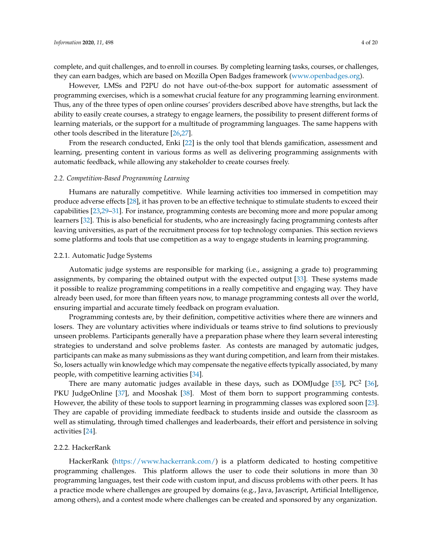complete, and quit challenges, and to enroll in courses. By completing learning tasks, courses, or challenges, they can earn badges, which are based on Mozilla Open Badges framework [\(www.openbadges.org\)](www.openbadges.org).

However, LMSs and P2PU do not have out-of-the-box support for automatic assessment of programming exercises, which is a somewhat crucial feature for any programming learning environment. Thus, any of the three types of open online courses' providers described above have strengths, but lack the ability to easily create courses, a strategy to engage learners, the possibility to present different forms of learning materials, or the support for a multitude of programming languages. The same happens with other tools described in the literature [\[26](#page-18-3)[,27\]](#page-18-4).

From the research conducted, Enki [\[22\]](#page-18-0) is the only tool that blends gamification, assessment and learning, presenting content in various forms as well as delivering programming assignments with automatic feedback, while allowing any stakeholder to create courses freely.

## *2.2. Competition-Based Programming Learning*

Humans are naturally competitive. While learning activities too immersed in competition may produce adverse effects [\[28\]](#page-18-5), it has proven to be an effective technique to stimulate students to exceed their capabilities [\[23,](#page-18-6)[29](#page-18-7)[–31\]](#page-18-8). For instance, programming contests are becoming more and more popular among learners [\[32\]](#page-18-9). This is also beneficial for students, who are increasingly facing programming contests after leaving universities, as part of the recruitment process for top technology companies. This section reviews some platforms and tools that use competition as a way to engage students in learning programming.

#### 2.2.1. Automatic Judge Systems

Automatic judge systems are responsible for marking (i.e., assigning a grade to) programming assignments, by comparing the obtained output with the expected output [\[33\]](#page-18-10). These systems made it possible to realize programming competitions in a really competitive and engaging way. They have already been used, for more than fifteen years now, to manage programming contests all over the world, ensuring impartial and accurate timely feedback on program evaluation.

Programming contests are, by their definition, competitive activities where there are winners and losers. They are voluntary activities where individuals or teams strive to find solutions to previously unseen problems. Participants generally have a preparation phase where they learn several interesting strategies to understand and solve problems faster. As contests are managed by automatic judges, participants can make as many submissions as they want during competition, and learn from their mistakes. So, losers actually win knowledge which may compensate the negative effects typically associated, by many people, with competitive learning activities [\[34\]](#page-18-11).

There are many automatic judges available in these days, such as DOMJudge [\[35\]](#page-18-12),  $PC^2$  [\[36\]](#page-18-13), PKU JudgeOnline [\[37\]](#page-18-14), and Mooshak [\[38\]](#page-18-15). Most of them born to support programming contests. However, the ability of these tools to support learning in programming classes was explored soon [\[23\]](#page-18-6). They are capable of providing immediate feedback to students inside and outside the classroom as well as stimulating, through timed challenges and leaderboards, their effort and persistence in solving activities [\[24\]](#page-18-1).

#### 2.2.2. HackerRank

HackerRank [\(https://www.hackerrank.com/\)](https://www.hackerrank.com/) is a platform dedicated to hosting competitive programming challenges. This platform allows the user to code their solutions in more than 30 programming languages, test their code with custom input, and discuss problems with other peers. It has a practice mode where challenges are grouped by domains (e.g., Java, Javascript, Artificial Intelligence, among others), and a contest mode where challenges can be created and sponsored by any organization.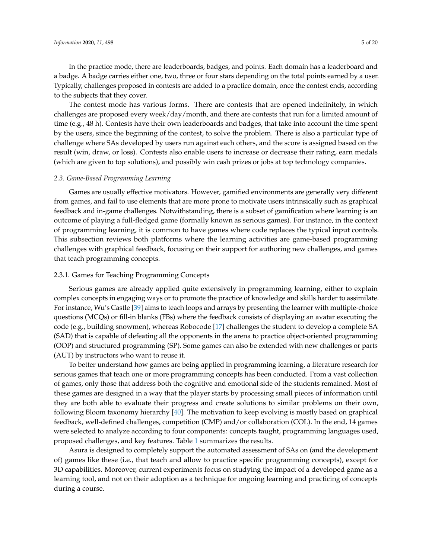In the practice mode, there are leaderboards, badges, and points. Each domain has a leaderboard and a badge. A badge carries either one, two, three or four stars depending on the total points earned by a user. Typically, challenges proposed in contests are added to a practice domain, once the contest ends, according to the subjects that they cover.

The contest mode has various forms. There are contests that are opened indefinitely, in which challenges are proposed every week/day/month, and there are contests that run for a limited amount of time (e.g., 48 h). Contests have their own leaderboards and badges, that take into account the time spent by the users, since the beginning of the contest, to solve the problem. There is also a particular type of challenge where SAs developed by users run against each others, and the score is assigned based on the result (win, draw, or loss). Contests also enable users to increase or decrease their rating, earn medals (which are given to top solutions), and possibly win cash prizes or jobs at top technology companies.

#### *2.3. Game-Based Programming Learning*

Games are usually effective motivators. However, gamified environments are generally very different from games, and fail to use elements that are more prone to motivate users intrinsically such as graphical feedback and in-game challenges. Notwithstanding, there is a subset of gamification where learning is an outcome of playing a full-fledged game (formally known as serious games). For instance, in the context of programming learning, it is common to have games where code replaces the typical input controls. This subsection reviews both platforms where the learning activities are game-based programming challenges with graphical feedback, focusing on their support for authoring new challenges, and games that teach programming concepts.

#### 2.3.1. Games for Teaching Programming Concepts

Serious games are already applied quite extensively in programming learning, either to explain complex concepts in engaging ways or to promote the practice of knowledge and skills harder to assimilate. For instance, Wu's Castle [\[39\]](#page-18-16) aims to teach loops and arrays by presenting the learner with multiple-choice questions (MCQs) or fill-in blanks (FBs) where the feedback consists of displaying an avatar executing the code (e.g., building snowmen), whereas Robocode [\[17\]](#page-17-16) challenges the student to develop a complete SA (SAD) that is capable of defeating all the opponents in the arena to practice object-oriented programming (OOP) and structured programming (SP). Some games can also be extended with new challenges or parts (AUT) by instructors who want to reuse it.

To better understand how games are being applied in programming learning, a literature research for serious games that teach one or more programming concepts has been conducted. From a vast collection of games, only those that address both the cognitive and emotional side of the students remained. Most of these games are designed in a way that the player starts by processing small pieces of information until they are both able to evaluate their progress and create solutions to similar problems on their own, following Bloom taxonomy hierarchy [\[40\]](#page-18-17). The motivation to keep evolving is mostly based on graphical feedback, well-defined challenges, competition (CMP) and/or collaboration (COL). In the end, 14 games were selected to analyze according to four components: concepts taught, programming languages used, proposed challenges, and key features. Table [1](#page-5-0) summarizes the results.

Asura is designed to completely support the automated assessment of SAs on (and the development of) games like these (i.e., that teach and allow to practice specific programming concepts), except for 3D capabilities. Moreover, current experiments focus on studying the impact of a developed game as a learning tool, and not on their adoption as a technique for ongoing learning and practicing of concepts during a course.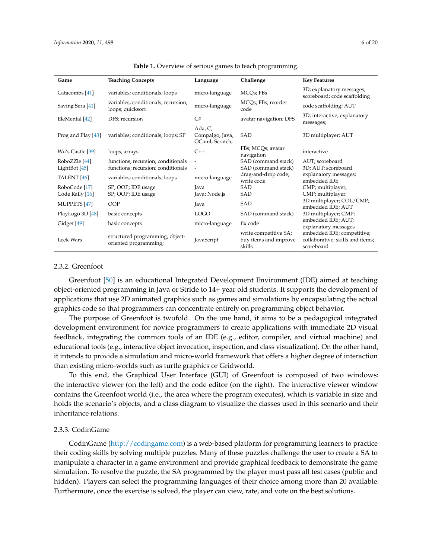<span id="page-5-0"></span>

| Game                             | <b>Teaching Concepts</b>                                                 | Language                                      | Challenge                                                | <b>Key Features</b>                                                          |
|----------------------------------|--------------------------------------------------------------------------|-----------------------------------------------|----------------------------------------------------------|------------------------------------------------------------------------------|
| Catacombs [41]                   | variables; conditionals; loops                                           | micro-language                                | MCQs; FBs                                                | 3D; explanatory messages;<br>scoreboard; code scaffolding                    |
| Saving Sera [41]                 | variables; conditionals; recursion;<br>loops; quicksort                  | micro-language                                | MCQs; FBs; reorder<br>code                               | code scaffolding; AUT                                                        |
| EleMental [42]                   | DFS: recursion                                                           | C#                                            | avatar navigation; DFS                                   | 3D; interactive; explanatory<br>messages;                                    |
| Prog and Play [43]               | variables; conditionals; loops; SP                                       | Ada, C,<br>Compalgo, Java,<br>OCaml, Scratch, | SAD                                                      | 3D multiplayer; AUT                                                          |
| Wu's Castle [39]                 | loops; arrays                                                            | $C++$                                         | FBs; MCQs; avatar<br>navigation                          | interactive                                                                  |
| RoboZZle [44]<br>LightBot $[45]$ | functions; recursion; conditionals<br>functions; recursion; conditionals |                                               | SAD (command stack)<br>SAD (command stack)               | AUT; scoreboard<br>3D; AUT; scoreboard                                       |
| TALENT <sup>[46]</sup>           | variables; conditionals; loops                                           | micro-language                                | drag-and-drop code;<br>write code                        | explanatory messages;<br>embedded IDE                                        |
| RoboCode <sup>[17]</sup>         | SP; OOP; IDE usage                                                       | Java                                          | SAD                                                      | CMP; multiplayer;                                                            |
| Code Rally [16]                  | SP; OOP; IDE usage                                                       | Java; Node.js                                 | <b>SAD</b>                                               | CMP; multiplayer;                                                            |
| <b>MUPPETS</b> [47]              | <b>OOP</b>                                                               | Java                                          | SAD                                                      | 3D multiplayer; COL/CMP;<br>embedded IDE; AUT                                |
| PlayLogo 3D [48]                 | basic concepts                                                           | <b>LOGO</b>                                   | SAD (command stack)                                      | 3D multiplayer; CMP;                                                         |
| Gidget [49]                      | basic concepts                                                           | micro-language                                | fix code                                                 | embedded IDE; AUT;<br>explanatory messages                                   |
| Leek Wars                        | structured programming; object-<br>oriented programming;                 | JavaScript                                    | write competitive SA;<br>buy items and improve<br>skills | embedded IDE; competitive;<br>collaborative; skills and items;<br>scoreboard |

**Table 1.** Overview of serious games to teach programming.

#### 2.3.2. Greenfoot

Greenfoot [\[50\]](#page-19-5) is an educational Integrated Development Environment (IDE) aimed at teaching object-oriented programming in Java or Stride to 14+ year old students. It supports the development of applications that use 2D animated graphics such as games and simulations by encapsulating the actual graphics code so that programmers can concentrate entirely on programming object behavior.

The purpose of Greenfoot is twofold. On the one hand, it aims to be a pedagogical integrated development environment for novice programmers to create applications with immediate 2D visual feedback, integrating the common tools of an IDE (e.g., editor, compiler, and virtual machine) and educational tools (e.g., interactive object invocation, inspection, and class visualization). On the other hand, it intends to provide a simulation and micro-world framework that offers a higher degree of interaction than existing micro-worlds such as turtle graphics or Gridworld.

To this end, the Graphical User Interface (GUI) of Greenfoot is composed of two windows: the interactive viewer (on the left) and the code editor (on the right). The interactive viewer window contains the Greenfoot world (i.e., the area where the program executes), which is variable in size and holds the scenario's objects, and a class diagram to visualize the classes used in this scenario and their inheritance relations.

#### 2.3.3. CodinGame

CodinGame [\(http://codingame.com\)](http://codingame.com) is a web-based platform for programming learners to practice their coding skills by solving multiple puzzles. Many of these puzzles challenge the user to create a SA to manipulate a character in a game environment and provide graphical feedback to demonstrate the game simulation. To resolve the puzzle, the SA programmed by the player must pass all test cases (public and hidden). Players can select the programming languages of their choice among more than 20 available. Furthermore, once the exercise is solved, the player can view, rate, and vote on the best solutions.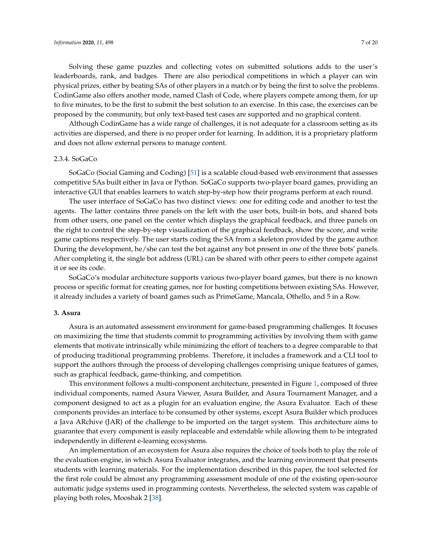Solving these game puzzles and collecting votes on submitted solutions adds to the user's leaderboards, rank, and badges. There are also periodical competitions in which a player can win physical prizes, either by beating SAs of other players in a match or by being the first to solve the problems. CodinGame also offers another mode, named Clash of Code, where players compete among them, for up to five minutes, to be the first to submit the best solution to an exercise. In this case, the exercises can be proposed by the community, but only text-based test cases are supported and no graphical content.

Although CodinGame has a wide range of challenges, it is not adequate for a classroom setting as its activities are dispersed, and there is no proper order for learning. In addition, it is a proprietary platform and does not allow external persons to manage content.

#### 2.3.4. SoGaCo

SoGaCo (Social Gaming and Coding) [\[51\]](#page-19-6) is a scalable cloud-based web environment that assesses competitive SAs built either in Java or Python. SoGaCo supports two-player board games, providing an interactive GUI that enables learners to watch step-by-step how their programs perform at each round.

The user interface of SoGaCo has two distinct views: one for editing code and another to test the agents. The latter contains three panels on the left with the user bots, built-in bots, and shared bots from other users, one panel on the center which displays the graphical feedback, and three panels on the right to control the step-by-step visualization of the graphical feedback, show the score, and write game captions respectively. The user starts coding the SA from a skeleton provided by the game author. During the development, he/she can test the bot against any bot present in one of the three bots' panels. After completing it, the single bot address (URL) can be shared with other peers to either compete against it or see its code.

SoGaCo's modular architecture supports various two-player board games, but there is no known process or specific format for creating games, nor for hosting competitions between existing SAs. However, it already includes a variety of board games such as PrimeGame, Mancala, Othello, and 5 in a Row.

#### <span id="page-6-0"></span>**3. Asura**

Asura is an automated assessment environment for game-based programming challenges. It focuses on maximizing the time that students commit to programming activities by involving them with game elements that motivate intrinsically while minimizing the effort of teachers to a degree comparable to that of producing traditional programming problems. Therefore, it includes a framework and a CLI tool to support the authors through the process of developing challenges comprising unique features of games, such as graphical feedback, game-thinking, and competition.

This environment follows a multi-component architecture, presented in Figure [1,](#page-7-0) composed of three individual components, named Asura Viewer, Asura Builder, and Asura Tournament Manager, and a component designed to act as a plugin for an evaluation engine, the Asura Evaluator. Each of these components provides an interface to be consumed by other systems, except Asura Builder which produces a Java ARchive (JAR) of the challenge to be imported on the target system. This architecture aims to guarantee that every component is easily replaceable and extendable while allowing them to be integrated independently in different e-learning ecosystems.

An implementation of an ecosystem for Asura also requires the choice of tools both to play the role of the evaluation engine, in which Asura Evaluator integrates, and the learning environment that presents students with learning materials. For the implementation described in this paper, the tool selected for the first role could be almost any programming assessment module of one of the existing open-source automatic judge systems used in programming contests. Nevertheless, the selected system was capable of playing both roles, Mooshak 2 [\[38\]](#page-18-15).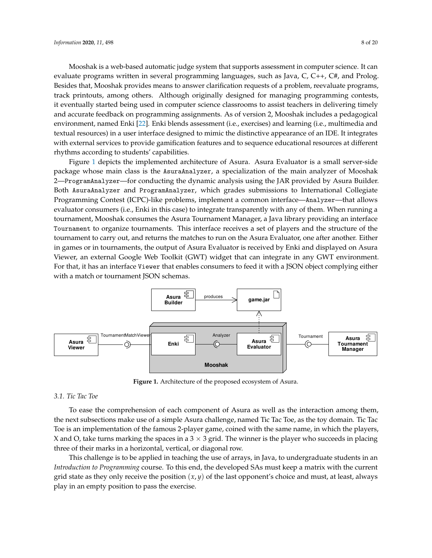Mooshak is a web-based automatic judge system that supports assessment in computer science. It can evaluate programs written in several programming languages, such as Java, C, C++, C#, and Prolog. Besides that, Mooshak provides means to answer clarification requests of a problem, reevaluate programs, track printouts, among others. Although originally designed for managing programming contests, it eventually started being used in computer science classrooms to assist teachers in delivering timely and accurate feedback on programming assignments. As of version 2, Mooshak includes a pedagogical environment, named Enki [\[22\]](#page-18-0). Enki blends assessment (i.e., exercises) and learning (i.e., multimedia and textual resources) in a user interface designed to mimic the distinctive appearance of an IDE. It integrates with external services to provide gamification features and to sequence educational resources at different rhythms according to students' capabilities.

Figure [1](#page-7-0) depicts the implemented architecture of Asura. Asura Evaluator is a small server-side package whose main class is the AsuraAnalyzer, a specialization of the main analyzer of Mooshak 2—ProgramAnalyzer—for conducting the dynamic analysis using the JAR provided by Asura Builder. Both AsuraAnalyzer and ProgramAnalyzer, which grades submissions to International Collegiate Programming Contest (ICPC)-like problems, implement a common interface—Analyzer—that allows evaluator consumers (i.e., Enki in this case) to integrate transparently with any of them. When running a tournament, Mooshak consumes the Asura Tournament Manager, a Java library providing an interface Tournament to organize tournaments. This interface receives a set of players and the structure of the tournament to carry out, and returns the matches to run on the Asura Evaluator, one after another. Either in games or in tournaments, the output of Asura Evaluator is received by Enki and displayed on Asura Viewer, an external Google Web Toolkit (GWT) widget that can integrate in any GWT environment. For that, it has an interface Viewer that enables consumers to feed it with a JSON object complying either with a match or tournament JSON schemas.

<span id="page-7-0"></span>

**Figure 1.** Architecture of the proposed ecosystem of Asura.

## *3.1. Tic Tac Toe*

To ease the comprehension of each component of Asura as well as the interaction among them, the next subsections make use of a simple Asura challenge, named Tic Tac Toe, as the toy domain. Tic Tac Toe is an implementation of the famous 2-player game, coined with the same name, in which the players, X and O, take turns marking the spaces in a  $3 \times 3$  grid. The winner is the player who succeeds in placing three of their marks in a horizontal, vertical, or diagonal row.

This challenge is to be applied in teaching the use of arrays, in Java, to undergraduate students in an *Introduction to Programming* course. To this end, the developed SAs must keep a matrix with the current grid state as they only receive the position (*x*, *y*) of the last opponent's choice and must, at least, always play in an empty position to pass the exercise.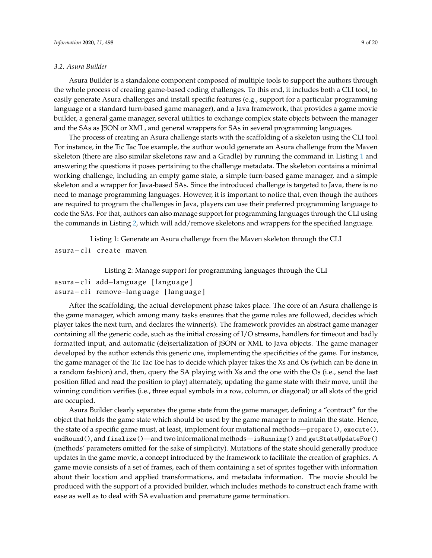#### *3.2. Asura Builder*

Asura Builder is a standalone component composed of multiple tools to support the authors through the whole process of creating game-based coding challenges. To this end, it includes both a CLI tool, to easily generate Asura challenges and install specific features (e.g., support for a particular programming language or a standard turn-based game manager), and a Java framework, that provides a game movie builder, a general game manager, several utilities to exchange complex state objects between the manager and the SAs as JSON or XML, and general wrappers for SAs in several programming languages.

The process of creating an Asura challenge starts with the scaffolding of a skeleton using the CLI tool. For instance, in the Tic Tac Toe example, the author would generate an Asura challenge from the Maven skeleton (there are also similar skeletons raw and a Gradle) by running the command in Listing [1](#page-8-0) and answering the questions it poses pertaining to the challenge metadata. The skeleton contains a minimal working challenge, including an empty game state, a simple turn-based game manager, and a simple skeleton and a wrapper for Java-based SAs. Since the introduced challenge is targeted to Java, there is no need to manage programming languages. However, it is important to notice that, even though the authors are required to program the challenges in Java, players can use their preferred programming language to code the SAs. For that, authors can also manage support for programming languages through the CLI using the commands in Listing [2,](#page-8-1) which will add/remove skeletons and wrappers for the specified language.

<span id="page-8-0"></span>Listing 1: Generate an Asura challenge from the Maven skeleton through the CLI asura-cli create maven

```
Listing 2: Manage support for programming languages through the CLI
asura-cli add-language [language]
asura-cli remove-language [language]
```
After the scaffolding, the actual development phase takes place. The core of an Asura challenge is the game manager, which among many tasks ensures that the game rules are followed, decides which player takes the next turn, and declares the winner(s). The framework provides an abstract game manager containing all the generic code, such as the initial crossing of I/O streams, handlers for timeout and badly formatted input, and automatic (de)serialization of JSON or XML to Java objects. The game manager developed by the author extends this generic one, implementing the specificities of the game. For instance, the game manager of the Tic Tac Toe has to decide which player takes the Xs and Os (which can be done in a random fashion) and, then, query the SA playing with Xs and the one with the Os (i.e., send the last position filled and read the position to play) alternately, updating the game state with their move, until the winning condition verifies (i.e., three equal symbols in a row, column, or diagonal) or all slots of the grid are occupied.

Asura Builder clearly separates the game state from the game manager, defining a "contract" for the object that holds the game state which should be used by the game manager to maintain the state. Hence, the state of a specific game must, at least, implement four mutational methods—prepare(), execute(), endRound(), and finalize()—and two informational methods—isRunning() and getStateUpdateFor() (methods' parameters omitted for the sake of simplicity). Mutations of the state should generally produce updates in the game movie, a concept introduced by the framework to facilitate the creation of graphics. A game movie consists of a set of frames, each of them containing a set of sprites together with information about their location and applied transformations, and metadata information. The movie should be produced with the support of a provided builder, which includes methods to construct each frame with ease as well as to deal with SA evaluation and premature game termination.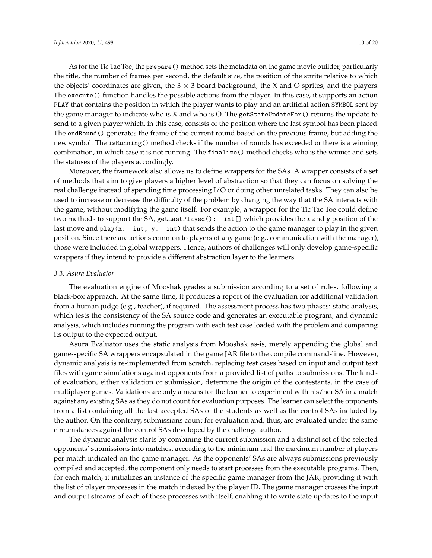As for the Tic Tac Toe, the prepare() method sets the metadata on the game movie builder, particularly the title, the number of frames per second, the default size, the position of the sprite relative to which the objects' coordinates are given, the  $3 \times 3$  board background, the X and O sprites, and the players. The execute() function handles the possible actions from the player. In this case, it supports an action PLAY that contains the position in which the player wants to play and an artificial action SYMBOL sent by the game manager to indicate who is X and who is O. The getStateUpdateFor() returns the update to send to a given player which, in this case, consists of the position where the last symbol has been placed. The endRound() generates the frame of the current round based on the previous frame, but adding the new symbol. The isRunning() method checks if the number of rounds has exceeded or there is a winning combination, in which case it is not running. The finalize() method checks who is the winner and sets the statuses of the players accordingly.

Moreover, the framework also allows us to define wrappers for the SAs. A wrapper consists of a set of methods that aim to give players a higher level of abstraction so that they can focus on solving the real challenge instead of spending time processing I/O or doing other unrelated tasks. They can also be used to increase or decrease the difficulty of the problem by changing the way that the SA interacts with the game, without modifying the game itself. For example, a wrapper for the Tic Tac Toe could define two methods to support the SA, getLastPlayed(): int[] which provides the *x* and *y* position of the last move and play(x: int, y: int) that sends the action to the game manager to play in the given position. Since there are actions common to players of any game (e.g., communication with the manager), those were included in global wrappers. Hence, authors of challenges will only develop game-specific wrappers if they intend to provide a different abstraction layer to the learners.

## *3.3. Asura Evaluator*

The evaluation engine of Mooshak grades a submission according to a set of rules, following a black-box approach. At the same time, it produces a report of the evaluation for additional validation from a human judge (e.g., teacher), if required. The assessment process has two phases: static analysis, which tests the consistency of the SA source code and generates an executable program; and dynamic analysis, which includes running the program with each test case loaded with the problem and comparing its output to the expected output.

Asura Evaluator uses the static analysis from Mooshak as-is, merely appending the global and game-specific SA wrappers encapsulated in the game JAR file to the compile command-line. However, dynamic analysis is re-implemented from scratch, replacing test cases based on input and output text files with game simulations against opponents from a provided list of paths to submissions. The kinds of evaluation, either validation or submission, determine the origin of the contestants, in the case of multiplayer games. Validations are only a means for the learner to experiment with his/her SA in a match against any existing SAs as they do not count for evaluation purposes. The learner can select the opponents from a list containing all the last accepted SAs of the students as well as the control SAs included by the author. On the contrary, submissions count for evaluation and, thus, are evaluated under the same circumstances against the control SAs developed by the challenge author.

The dynamic analysis starts by combining the current submission and a distinct set of the selected opponents' submissions into matches, according to the minimum and the maximum number of players per match indicated on the game manager. As the opponents' SAs are always submissions previously compiled and accepted, the component only needs to start processes from the executable programs. Then, for each match, it initializes an instance of the specific game manager from the JAR, providing it with the list of player processes in the match indexed by the player ID. The game manager crosses the input and output streams of each of these processes with itself, enabling it to write state updates to the input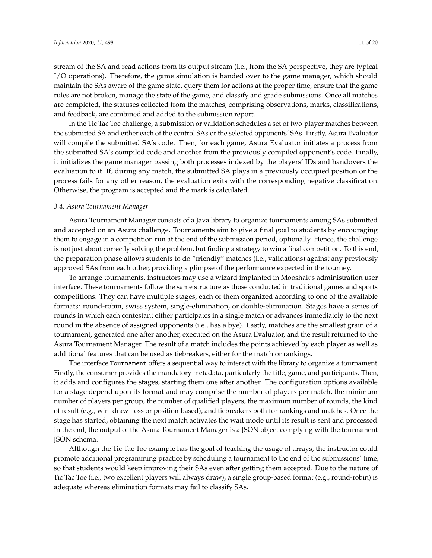stream of the SA and read actions from its output stream (i.e., from the SA perspective, they are typical I/O operations). Therefore, the game simulation is handed over to the game manager, which should maintain the SAs aware of the game state, query them for actions at the proper time, ensure that the game rules are not broken, manage the state of the game, and classify and grade submissions. Once all matches are completed, the statuses collected from the matches, comprising observations, marks, classifications, and feedback, are combined and added to the submission report.

In the Tic Tac Toe challenge, a submission or validation schedules a set of two-player matches between the submitted SA and either each of the control SAs or the selected opponents' SAs. Firstly, Asura Evaluator will compile the submitted SA's code. Then, for each game, Asura Evaluator initiates a process from the submitted SA's compiled code and another from the previously compiled opponent's code. Finally, it initializes the game manager passing both processes indexed by the players' IDs and handovers the evaluation to it. If, during any match, the submitted SA plays in a previously occupied position or the process fails for any other reason, the evaluation exits with the corresponding negative classification. Otherwise, the program is accepted and the mark is calculated.

#### *3.4. Asura Tournament Manager*

Asura Tournament Manager consists of a Java library to organize tournaments among SAs submitted and accepted on an Asura challenge. Tournaments aim to give a final goal to students by encouraging them to engage in a competition run at the end of the submission period, optionally. Hence, the challenge is not just about correctly solving the problem, but finding a strategy to win a final competition. To this end, the preparation phase allows students to do "friendly" matches (i.e., validations) against any previously approved SAs from each other, providing a glimpse of the performance expected in the tourney.

To arrange tournaments, instructors may use a wizard implanted in Mooshak's administration user interface. These tournaments follow the same structure as those conducted in traditional games and sports competitions. They can have multiple stages, each of them organized according to one of the available formats: round-robin, swiss system, single-elimination, or double-elimination. Stages have a series of rounds in which each contestant either participates in a single match or advances immediately to the next round in the absence of assigned opponents (i.e., has a bye). Lastly, matches are the smallest grain of a tournament, generated one after another, executed on the Asura Evaluator, and the result returned to the Asura Tournament Manager. The result of a match includes the points achieved by each player as well as additional features that can be used as tiebreakers, either for the match or rankings.

The interface Tournament offers a sequential way to interact with the library to organize a tournament. Firstly, the consumer provides the mandatory metadata, particularly the title, game, and participants. Then, it adds and configures the stages, starting them one after another. The configuration options available for a stage depend upon its format and may comprise the number of players per match, the minimum number of players per group, the number of qualified players, the maximum number of rounds, the kind of result (e.g., win–draw–loss or position-based), and tiebreakers both for rankings and matches. Once the stage has started, obtaining the next match activates the wait mode until its result is sent and processed. In the end, the output of the Asura Tournament Manager is a JSON object complying with the tournament JSON schema.

Although the Tic Tac Toe example has the goal of teaching the usage of arrays, the instructor could promote additional programming practice by scheduling a tournament to the end of the submissions' time, so that students would keep improving their SAs even after getting them accepted. Due to the nature of Tic Tac Toe (i.e., two excellent players will always draw), a single group-based format (e.g., round-robin) is adequate whereas elimination formats may fail to classify SAs.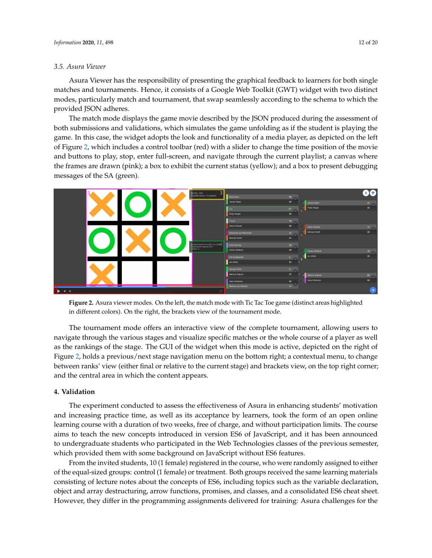#### *3.5. Asura Viewer*

Asura Viewer has the responsibility of presenting the graphical feedback to learners for both single matches and tournaments. Hence, it consists of a Google Web Toolkit (GWT) widget with two distinct modes, particularly match and tournament, that swap seamlessly according to the schema to which the provided JSON adheres.

The match mode displays the game movie described by the JSON produced during the assessment of both submissions and validations, which simulates the game unfolding as if the student is playing the game. In this case, the widget adopts the look and functionality of a media player, as depicted on the left of Figure [2,](#page-11-1) which includes a control toolbar (red) with a slider to change the time position of the movie and buttons to play, stop, enter full-screen, and navigate through the current playlist; a canvas where the frames are drawn (pink); a box to exhibit the current status (yellow); and a box to present debugging messages of the SA (green).

<span id="page-11-1"></span>

**Figure 2.** Asura viewer modes. On the left, the match mode with Tic Tac Toe game (distinct areas highlighted in different colors). On the right, the brackets view of the tournament mode.

The tournament mode offers an interactive view of the complete tournament, allowing users to navigate through the various stages and visualize specific matches or the whole course of a player as well as the rankings of the stage. The GUI of the widget when this mode is active, depicted on the right of Figure [2,](#page-11-1) holds a previous/next stage navigation menu on the bottom right; a contextual menu, to change between ranks' view (either final or relative to the current stage) and brackets view, on the top right corner; and the central area in which the content appears.

## <span id="page-11-0"></span>**4. Validation**

The experiment conducted to assess the effectiveness of Asura in enhancing students' motivation and increasing practice time, as well as its acceptance by learners, took the form of an open online learning course with a duration of two weeks, free of charge, and without participation limits. The course aims to teach the new concepts introduced in version ES6 of JavaScript, and it has been announced to undergraduate students who participated in the Web Technologies classes of the previous semester, which provided them with some background on JavaScript without ES6 features.

From the invited students, 10 (1 female) registered in the course, who were randomly assigned to either of the equal-sized groups: control (1 female) or treatment. Both groups received the same learning materials consisting of lecture notes about the concepts of ES6, including topics such as the variable declaration, object and array destructuring, arrow functions, promises, and classes, and a consolidated ES6 cheat sheet. However, they differ in the programming assignments delivered for training: Asura challenges for the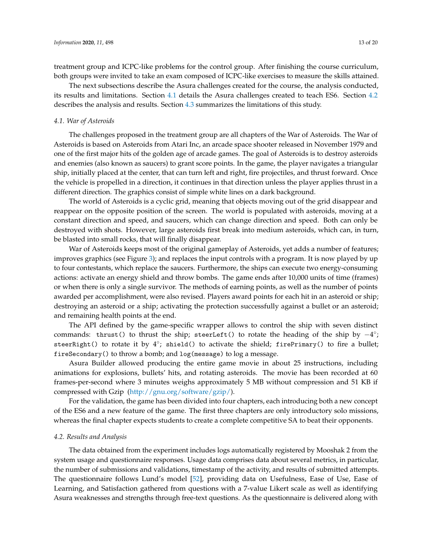treatment group and ICPC-like problems for the control group. After finishing the course curriculum, both groups were invited to take an exam composed of ICPC-like exercises to measure the skills attained.

The next subsections describe the Asura challenges created for the course, the analysis conducted, its results and limitations. Section [4.1](#page-12-0) details the Asura challenges created to teach ES6. Section [4.2](#page-12-1) describes the analysis and results. Section [4.3](#page-15-0) summarizes the limitations of this study.

#### <span id="page-12-0"></span>*4.1. War of Asteroids*

The challenges proposed in the treatment group are all chapters of the War of Asteroids. The War of Asteroids is based on Asteroids from Atari Inc, an arcade space shooter released in November 1979 and one of the first major hits of the golden age of arcade games. The goal of Asteroids is to destroy asteroids and enemies (also known as saucers) to grant score points. In the game, the player navigates a triangular ship, initially placed at the center, that can turn left and right, fire projectiles, and thrust forward. Once the vehicle is propelled in a direction, it continues in that direction unless the player applies thrust in a different direction. The graphics consist of simple white lines on a dark background.

The world of Asteroids is a cyclic grid, meaning that objects moving out of the grid disappear and reappear on the opposite position of the screen. The world is populated with asteroids, moving at a constant direction and speed, and saucers, which can change direction and speed. Both can only be destroyed with shots. However, large asteroids first break into medium asteroids, which can, in turn, be blasted into small rocks, that will finally disappear.

War of Asteroids keeps most of the original gameplay of Asteroids, yet adds a number of features; improves graphics (see Figure [3\)](#page-13-0); and replaces the input controls with a program. It is now played by up to four contestants, which replace the saucers. Furthermore, the ships can execute two energy-consuming actions: activate an energy shield and throw bombs. The game ends after 10,000 units of time (frames) or when there is only a single survivor. The methods of earning points, as well as the number of points awarded per accomplishment, were also revised. Players award points for each hit in an asteroid or ship; destroying an asteroid or a ship; activating the protection successfully against a bullet or an asteroid; and remaining health points at the end.

The API defined by the game-specific wrapper allows to control the ship with seven distinct commands: thrust() to thrust the ship; steerLeft() to rotate the heading of the ship by  $-4^{\circ}$ ; steerRight() to rotate it by 4°; shield() to activate the shield; firePrimary() to fire a bullet; fireSecondary() to throw a bomb; and log(message) to log a message.

Asura Builder allowed producing the entire game movie in about 25 instructions, including animations for explosions, bullets' hits, and rotating asteroids. The movie has been recorded at 60 frames-per-second where 3 minutes weighs approximately 5 MB without compression and 51 KB if compressed with Gzip [\(http://gnu.org/software/gzip/\)](http://gnu.org/software/gzip/).

For the validation, the game has been divided into four chapters, each introducing both a new concept of the ES6 and a new feature of the game. The first three chapters are only introductory solo missions, whereas the final chapter expects students to create a complete competitive SA to beat their opponents.

#### <span id="page-12-1"></span>*4.2. Results and Analysis*

The data obtained from the experiment includes logs automatically registered by Mooshak 2 from the system usage and questionnaire responses. Usage data comprises data about several metrics, in particular, the number of submissions and validations, timestamp of the activity, and results of submitted attempts. The questionnaire follows Lund's model [\[52\]](#page-19-7), providing data on Usefulness, Ease of Use, Ease of Learning, and Satisfaction gathered from questions with a 7-value Likert scale as well as identifying Asura weaknesses and strengths through free-text questions. As the questionnaire is delivered along with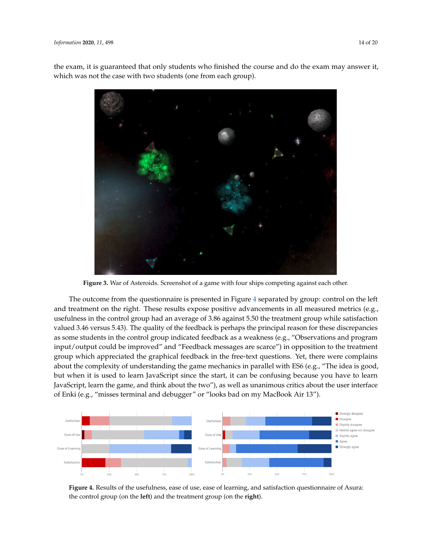<span id="page-13-0"></span>the exam, it is guaranteed that only students who finished the course and do the exam may answer it, which was not the case with two students (one from each group).



**Figure 3.** War of Asteroids. Screenshot of a game with four ships competing against each other.

The outcome from the questionnaire is presented in Figure [4](#page-13-1) separated by group: control on the left and treatment on the right. These results expose positive advancements in all measured metrics (e.g., usefulness in the control group had an average of 3.86 against 5.50 the treatment group while satisfaction valued 3.46 versus 5.43). The quality of the feedback is perhaps the principal reason for these discrepancies as some students in the control group indicated feedback as a weakness (e.g., "Observations and program input/output could be improved" and "Feedback messages are scarce") in opposition to the treatment group which appreciated the graphical feedback in the free-text questions. Yet, there were complains about the complexity of understanding the game mechanics in parallel with ES6 (e.g., "The idea is good, but when it is used to learn JavaScript since the start, it can be confusing because you have to learn JavaScript, learn the game, and think about the two"), as well as unanimous critics about the user interface of Enki (e.g., "misses terminal and debugger" or "looks bad on my MacBook Air 13").

<span id="page-13-1"></span>

**Figure 4.** Results of the usefulness, ease of use, ease of learning, and satisfaction questionnaire of Asura: the control group (on the **left**) and the treatment group (on the **right**).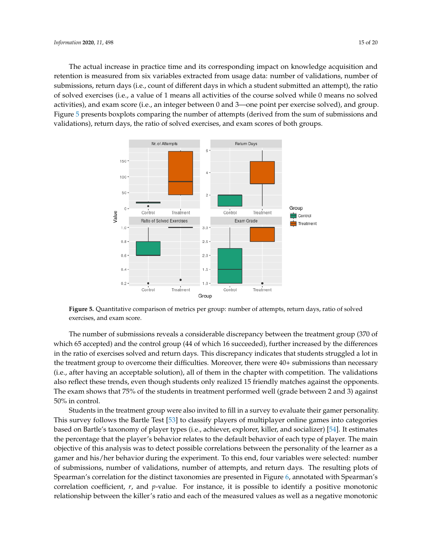The actual increase in practice time and its corresponding impact on knowledge acquisition and retention is measured from six variables extracted from usage data: number of validations, number of submissions, return days (i.e., count of different days in which a student submitted an attempt), the ratio of solved exercises (i.e., a value of 1 means all activities of the course solved while 0 means no solved activities), and exam score (i.e., an integer between 0 and 3—one point per exercise solved), and group. Figure [5](#page-14-0) presents boxplots comparing the number of attempts (derived from the sum of submissions and validations), return days, the ratio of solved exercises, and exam scores of both groups.

<span id="page-14-0"></span>

**Figure 5.** Quantitative comparison of metrics per group: number of attempts, return days, ratio of solved exercises, and exam score.

The number of submissions reveals a considerable discrepancy between the treatment group (370 of which 65 accepted) and the control group (44 of which 16 succeeded), further increased by the differences in the ratio of exercises solved and return days. This discrepancy indicates that students struggled a lot in the treatment group to overcome their difficulties. Moreover, there were 40+ submissions than necessary (i.e., after having an acceptable solution), all of them in the chapter with competition. The validations also reflect these trends, even though students only realized 15 friendly matches against the opponents. The exam shows that 75% of the students in treatment performed well (grade between 2 and 3) against 50% in control.

Students in the treatment group were also invited to fill in a survey to evaluate their gamer personality. This survey follows the Bartle Test [\[53\]](#page-19-8) to classify players of multiplayer online games into categories based on Bartle's taxonomy of player types (i.e., achiever, explorer, killer, and socializer) [\[54\]](#page-19-9). It estimates the percentage that the player's behavior relates to the default behavior of each type of player. The main objective of this analysis was to detect possible correlations between the personality of the learner as a gamer and his/her behavior during the experiment. To this end, four variables were selected: number of submissions, number of validations, number of attempts, and return days. The resulting plots of Spearman's correlation for the distinct taxonomies are presented in Figure [6,](#page-15-1) annotated with Spearman's correlation coefficient, *r*, and *p*-value. For instance, it is possible to identify a positive monotonic relationship between the killer's ratio and each of the measured values as well as a negative monotonic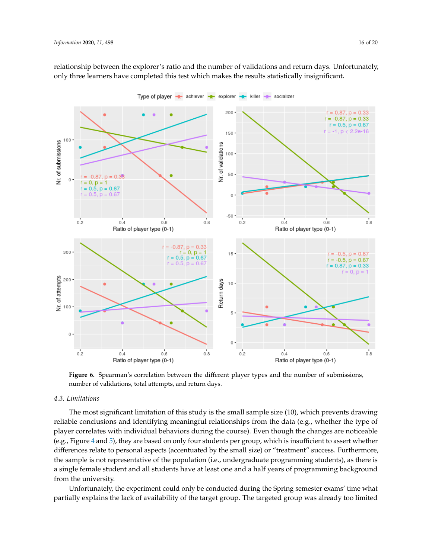relationship between the explorer's ratio and the number of validations and return days. Unfortunately, only three learners have completed this test which makes the results statistically insignificant.

<span id="page-15-1"></span>

**Figure 6.** Spearman's correlation between the different player types and the number of submissions, number of validations, total attempts, and return days.

## <span id="page-15-0"></span>*4.3. Limitations*

The most significant limitation of this study is the small sample size (10), which prevents drawing reliable conclusions and identifying meaningful relationships from the data (e.g., whether the type of player correlates with individual behaviors during the course). Even though the changes are noticeable (e.g., Figure [4](#page-13-1) and [5\)](#page-14-0), they are based on only four students per group, which is insufficient to assert whether differences relate to personal aspects (accentuated by the small size) or "treatment" success. Furthermore, the sample is not representative of the population (i.e., undergraduate programming students), as there is a single female student and all students have at least one and a half years of programming background from the university.

Unfortunately, the experiment could only be conducted during the Spring semester exams' time what partially explains the lack of availability of the target group. The targeted group was already too limited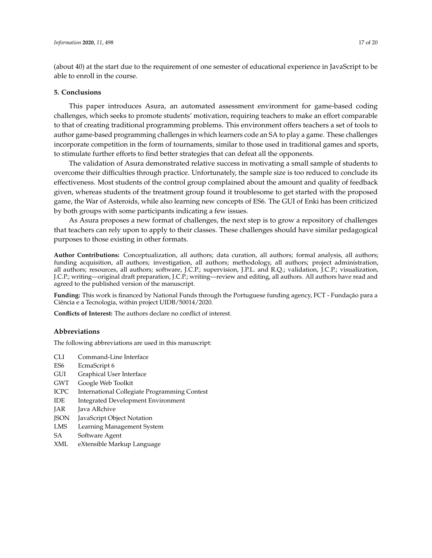(about 40) at the start due to the requirement of one semester of educational experience in JavaScript to be able to enroll in the course.

## <span id="page-16-0"></span>**5. Conclusions**

This paper introduces Asura, an automated assessment environment for game-based coding challenges, which seeks to promote students' motivation, requiring teachers to make an effort comparable to that of creating traditional programming problems. This environment offers teachers a set of tools to author game-based programming challenges in which learners code an SA to play a game. These challenges incorporate competition in the form of tournaments, similar to those used in traditional games and sports, to stimulate further efforts to find better strategies that can defeat all the opponents.

The validation of Asura demonstrated relative success in motivating a small sample of students to overcome their difficulties through practice. Unfortunately, the sample size is too reduced to conclude its effectiveness. Most students of the control group complained about the amount and quality of feedback given, whereas students of the treatment group found it troublesome to get started with the proposed game, the War of Asteroids, while also learning new concepts of ES6. The GUI of Enki has been criticized by both groups with some participants indicating a few issues.

As Asura proposes a new format of challenges, the next step is to grow a repository of challenges that teachers can rely upon to apply to their classes. These challenges should have similar pedagogical purposes to those existing in other formats.

**Author Contributions:** Conceptualization, all authors; data curation, all authors; formal analysis, all authors; funding acquisition, all authors; investigation, all authors; methodology, all authors; project administration, all authors; resources, all authors; software, J.C.P.; supervision, J.P.L. and R.Q.; validation, J.C.P.; visualization, J.C.P.; writing—original draft preparation, J.C.P.; writing—review and editing, all authors. All authors have read and agreed to the published version of the manuscript.

**Funding:** This work is financed by National Funds through the Portuguese funding agency, FCT - Fundação para a Ciência e a Tecnologia, within project UIDB/50014/2020.

**Conflicts of Interest:** The authors declare no conflict of interest.

#### **Abbreviations**

The following abbreviations are used in this manuscript:

- CLI Command-Line Interface
- ES6 EcmaScript 6
- GUI Graphical User Interface
- GWT Google Web Toolkit
- ICPC International Collegiate Programming Contest
- IDE Integrated Development Environment
- JAR Java ARchive
- JSON JavaScript Object Notation
- LMS Learning Management System
- SA Software Agent
- XML eXtensible Markup Language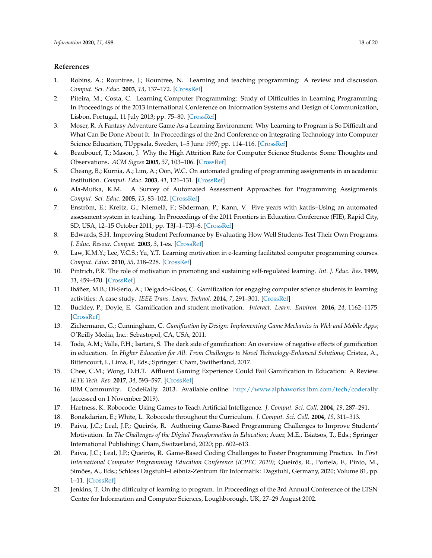#### **References**

- <span id="page-17-0"></span>1. Robins, A.; Rountree, J.; Rountree, N. Learning and teaching programming: A review and discussion. *Comput. Sci. Educ.* **2003**, *13*, 137–172. [\[CrossRef\]](http://dx.doi.org/10.1076/csed.13.2.137.14200)
- <span id="page-17-1"></span>2. Piteira, M.; Costa, C. Learning Computer Programming: Study of Difficulties in Learning Programming. In Proceedings of the 2013 International Conference on Information Systems and Design of Communication, Lisbon, Portugal, 11 July 2013; pp. 75–80. [\[CrossRef\]](http://dx.doi.org/10.1145/2503859.2503871)
- <span id="page-17-2"></span>3. Moser, R. A Fantasy Adventure Game As a Learning Environment: Why Learning to Program is So Difficult and What Can Be Done About It. In Proceedings of the 2nd Conference on Integrating Technology into Computer Science Education, TUppsala, Sweden, 1-5 June 1997; pp. 114-116. [\[CrossRef\]](http://dx.doi.org/10.1145/268819.268853)
- <span id="page-17-3"></span>4. Beaubouef, T.; Mason, J. Why the High Attrition Rate for Computer Science Students: Some Thoughts and Observations. *ACM Sigcse* **2005**, *37*, 103–106. [\[CrossRef\]](http://dx.doi.org/10.1145/1083431.1083474)
- <span id="page-17-4"></span>5. Cheang, B.; Kurnia, A.; Lim, A.; Oon, W.C. On automated grading of programming assignments in an academic institution. *Comput. Educ.* **2003**, *41*, 121–131. [\[CrossRef\]](http://dx.doi.org/10.1016/S0360-1315(03)00030-7)
- <span id="page-17-5"></span>6. Ala-Mutka, K.M. A Survey of Automated Assessment Approaches for Programming Assignments. *Comput. Sci. Educ.* **2005**, *15*, 83–102. [\[CrossRef\]](http://dx.doi.org/10.1080/08993400500150747)
- <span id="page-17-6"></span>7. Enström, E.; Kreitz, G.; Niemelä, F.; Söderman, P.; Kann, V. Five years with kattis–Using an automated assessment system in teaching. In Proceedings of the 2011 Frontiers in Education Conference (FIE), Rapid City, SD, USA, 12–15 October 2011; pp. T3J–1–T3J–6. [\[CrossRef\]](http://dx.doi.org/10.1109/FIE.2011.6142931)
- <span id="page-17-7"></span>8. Edwards, S.H. Improving Student Performance by Evaluating How Well Students Test Their Own Programs. *J. Educ. Resour. Comput.* **2003**, *3*, 1-es. [\[CrossRef\]](http://dx.doi.org/10.1145/1029994.1029995)
- <span id="page-17-8"></span>9. Law, K.M.Y.; Lee, V.C.S.; Yu, Y.T. Learning motivation in e-learning facilitated computer programming courses. *Comput. Educ.* **2010**, *55*, 218–228. [\[CrossRef\]](http://dx.doi.org/10.1016/j.compedu.2010.01.007)
- <span id="page-17-9"></span>10. Pintrich, P.R. The role of motivation in promoting and sustaining self-regulated learning. *Int. J. Educ. Res.* **1999**, *31*, 459–470. [\[CrossRef\]](http://dx.doi.org/10.1016/S0883-0355(99)00015-4)
- <span id="page-17-10"></span>11. Ibáñez, M.B.; Di-Serio, A.; Delgado-Kloos, C. Gamification for engaging computer science students in learning activities: A case study. *IEEE Trans. Learn. Technol.* **2014**, *7*, 291–301. [\[CrossRef\]](http://dx.doi.org/10.1109/TLT.2014.2329293)
- <span id="page-17-11"></span>12. Buckley, P.; Doyle, E. Gamification and student motivation. *Interact. Learn. Environ.* **2016**, *24*, 1162–1175. [\[CrossRef\]](http://dx.doi.org/10.1080/10494820.2014.964263)
- <span id="page-17-12"></span>13. Zichermann, G.; Cunningham, C. *Gamification by Design: Implementing Game Mechanics in Web and Mobile Apps*; O'Reilly Media, Inc.: Sebastopol, CA, USA, 2011.
- <span id="page-17-13"></span>14. Toda, A.M.; Valle, P.H.; Isotani, S. The dark side of gamification: An overview of negative effects of gamification in education. In *Higher Education for All. From Challenges to Novel Technology-Enhanced Solutions*; Cristea, A., Bittencourt, I., Lima, F., Eds.; Springer: Cham, Switherland, 2017.
- <span id="page-17-14"></span>15. Chee, C.M.; Wong, D.H.T. Affluent Gaming Experience Could Fail Gamification in Education: A Review. *IETE Tech. Rev.* **2017**, *34*, 593–597. [\[CrossRef\]](http://dx.doi.org/10.1080/02564602.2017.1315965)
- <span id="page-17-15"></span>16. IBM Community. CodeRally. 2013. Available online: <http://www.alphaworks.ibm.com/tech/coderally> (accessed on 1 November 2019).
- <span id="page-17-16"></span>17. Hartness, K. Robocode: Using Games to Teach Artificial Intelligence. *J. Comput. Sci. Coll.* **2004**, *19*, 287–291.
- <span id="page-17-17"></span>18. Bonakdarian, E.; White, L. Robocode throughout the Curriculum. *J. Comput. Sci. Coll.* **2004**, *19*, 311–313.
- <span id="page-17-18"></span>19. Paiva, J.C.; Leal, J.P.; Queirós, R. Authoring Game-Based Programming Challenges to Improve Students' Motivation. In *The Challenges of the Digital Transformation in Education*; Auer, M.E., Tsiatsos, T., Eds.; Springer International Publishing: Cham, Switzerland, 2020; pp. 602–613.
- <span id="page-17-19"></span>20. Paiva, J.C.; Leal, J.P.; Queirós, R. Game-Based Coding Challenges to Foster Programming Practice. In *First International Computer Programming Education Conference (ICPEC 2020)*; Queirós, R., Portela, F., Pinto, M., Simões, A., Eds.; Schloss Dagstuhl–Leibniz-Zentrum für Informatik: Dagstuhl, Germany, 2020; Volume 81, pp. 1–11. [\[CrossRef\]](http://dx.doi.org/10.4230/OASIcs.ICPEC.2020.18)
- <span id="page-17-20"></span>21. Jenkins, T. On the difficulty of learning to program. In Proceedings of the 3rd Annual Conference of the LTSN Centre for Information and Computer Sciences, Loughborough, UK, 27–29 August 2002.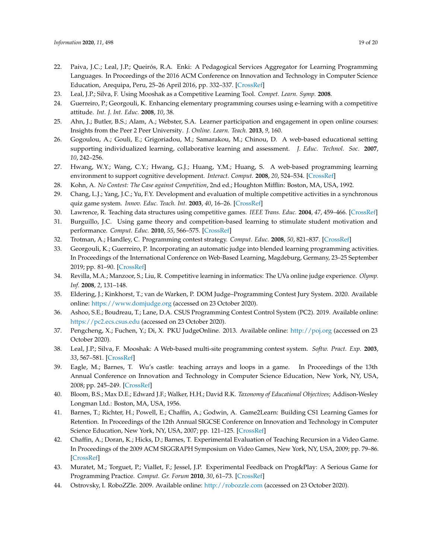- <span id="page-18-0"></span>22. Paiva, J.C.; Leal, J.P.; Queirós, R.A. Enki: A Pedagogical Services Aggregator for Learning Programming Languages. In Proceedings of the 2016 ACM Conference on Innovation and Technology in Computer Science Education, Arequipa, Peru, 25–26 April 2016, pp. 332–337. [\[CrossRef\]](http://dx.doi.org/10.1145/2899415.2899441)
- <span id="page-18-6"></span>23. Leal, J.P.; Silva, F. Using Mooshak as a Competitive Learning Tool. *Compet. Learn. Symp.* **2008**.
- <span id="page-18-1"></span>24. Guerreiro, P.; Georgouli, K. Enhancing elementary programming courses using e-learning with a competitive attitude. *Int. J. Int. Educ.* **2008**, *10*, 38.
- <span id="page-18-2"></span>25. Ahn, J.; Butler, B.S.; Alam, A.; Webster, S.A. Learner participation and engagement in open online courses: Insights from the Peer 2 Peer University. *J. Online. Learn. Teach.* **2013**, *9*, 160.
- <span id="page-18-3"></span>26. Gogoulou, A.; Gouli, E.; Grigoriadou, M.; Samarakou, M.; Chinou, D. A web-based educational setting supporting individualized learning, collaborative learning and assessment. *J. Educ. Technol. Soc.* **2007**, *10*, 242–256.
- <span id="page-18-4"></span>27. Hwang, W.Y.; Wang, C.Y.; Hwang, G.J.; Huang, Y.M.; Huang, S. A web-based programming learning environment to support cognitive development. *Interact. Comput.* **2008**, *20*, 524–534. [\[CrossRef\]](http://dx.doi.org/10.1016/j.intcom.2008.07.002)
- <span id="page-18-5"></span>28. Kohn, A. *No Contest: The Case against Competition*, 2nd ed.; Houghton Mifflin: Boston, MA, USA, 1992.
- <span id="page-18-7"></span>29. Chang, L.J.; Yang, J.C.; Yu, F.Y. Development and evaluation of multiple competitive activities in a synchronous quiz game system. *Innov. Educ. Teach. Int.* **2003**, *40*, 16–26. [\[CrossRef\]](http://dx.doi.org/10.1080/1355800032000038840)
- 30. Lawrence, R. Teaching data structures using competitive games. *IEEE Trans. Educ.* **2004**, *47*, 459–466. [\[CrossRef\]](http://dx.doi.org/10.1109/TE.2004.825053)
- <span id="page-18-8"></span>31. Burguillo, J.C. Using game theory and competition-based learning to stimulate student motivation and performance. *Comput. Educ.* **2010**, *55*, 566–575. [\[CrossRef\]](http://dx.doi.org/10.1016/j.compedu.2010.02.018)
- <span id="page-18-9"></span>32. Trotman, A.; Handley, C. Programming contest strategy. *Comput. Educ.* **2008**, *50*, 821–837. [\[CrossRef\]](http://dx.doi.org/10.1016/j.compedu.2006.08.008)
- <span id="page-18-10"></span>33. Georgouli, K.; Guerreiro, P. Incorporating an automatic judge into blended learning programming activities. In Proceedings of the International Conference on Web-Based Learning, Magdeburg, Germany, 23–25 September 2019; pp. 81–90. [\[CrossRef\]](http://dx.doi.org/10.1007/978-3-642-17407-0_9)
- <span id="page-18-11"></span>34. Revilla, M.A.; Manzoor, S.; Liu, R. Competitive learning in informatics: The UVa online judge experience. *Olymp. Inf.* **2008**, *2*, 131–148.
- <span id="page-18-12"></span>35. Eldering, J.; Kinkhorst, T.; van de Warken, P. DOM Judge–Programming Contest Jury System. 2020. Available online: <https://www.domjudge.org> (accessed on 23 October 2020).
- <span id="page-18-13"></span>36. Ashoo, S.E.; Boudreau, T.; Lane, D.A. CSUS Programming Contest Control System (PC2). 2019. Available online: <https://pc2.ecs.csus.edu> (accessed on 23 October 2020).
- <span id="page-18-14"></span>37. Pengcheng, X.; Fuchen, Y.; Di, X. PKU JudgeOnline. 2013. Available online: <http://poj.org> (accessed on 23 October 2020).
- <span id="page-18-15"></span>38. Leal, J.P.; Silva, F. Mooshak: A Web-based multi-site programming contest system. *Softw. Pract. Exp.* **2003**, *33*, 567–581. [\[CrossRef\]](http://dx.doi.org/10.1002/spe.522)
- <span id="page-18-16"></span>39. Eagle, M.; Barnes, T. Wu's castle: teaching arrays and loops in a game. In Proceedings of the 13th Annual Conference on Innovation and Technology in Computer Science Education, New York, NY, USA, 2008; pp. 245–249. [\[CrossRef\]](http://dx.doi.org/10.1145/1384271.1384337)
- <span id="page-18-17"></span>40. Bloom, B.S.; Max D.E.; Edward J.F.; Walker, H.H.; David R.K. *Taxonomy of Educational Objectives*; Addison-Wesley Longman Ltd.: Boston, MA, USA, 1956.
- <span id="page-18-18"></span>41. Barnes, T.; Richter, H.; Powell, E.; Chaffin, A.; Godwin, A. Game2Learn: Building CS1 Learning Games for Retention. In Proceedings of the 12th Annual SIGCSE Conference on Innovation and Technology in Computer Science Education, New York, NY, USA, 2007; pp. 121–125. [\[CrossRef\]](http://dx.doi.org/10.1145/1268784.1268821)
- <span id="page-18-19"></span>42. Chaffin, A.; Doran, K.; Hicks, D.; Barnes, T. Experimental Evaluation of Teaching Recursion in a Video Game. In Proceedings of the 2009 ACM SIGGRAPH Symposium on Video Games, New York, NY, USA, 2009; pp. 79–86. [\[CrossRef\]](http://dx.doi.org/10.1145/1581073.1581086)
- <span id="page-18-20"></span>43. Muratet, M.; Torguet, P.; Viallet, F.; Jessel, J.P. Experimental Feedback on Prog&Play: A Serious Game for Programming Practice. *Comput. Gr. Forum* **2010**, *30*, 61–73. [\[CrossRef\]](http://dx.doi.org/10.1111/j.1467-8659.2010.01829.x)
- <span id="page-18-21"></span>44. Ostrovsky, I. RoboZZle. 2009. Available online: <http://robozzle.com> (accessed on 23 October 2020).